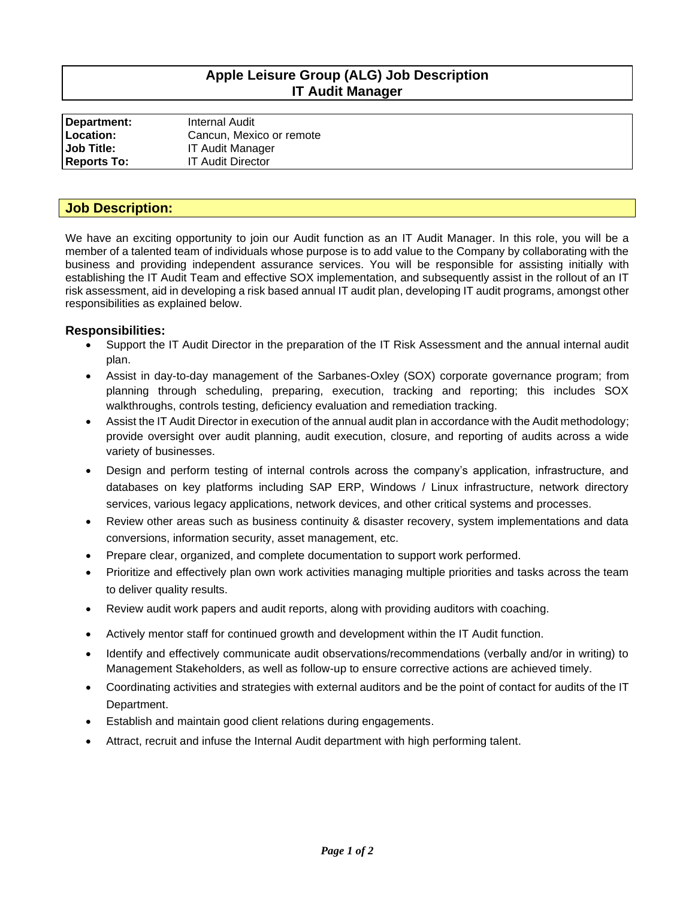# **Apple Leisure Group (ALG) Job Description IT Audit Manager**

| Department:        | Internal Audit           |
|--------------------|--------------------------|
| Location:          | Cancun, Mexico or remote |
| <b>Job Title:</b>  | <b>IT Audit Manager</b>  |
| <b>Reports To:</b> | <b>IT Audit Director</b> |

### **Job Description:**

We have an exciting opportunity to join our Audit function as an IT Audit Manager. In this role, you will be a member of a talented team of individuals whose purpose is to add value to the Company by collaborating with the business and providing independent assurance services. You will be responsible for assisting initially with establishing the IT Audit Team and effective SOX implementation, and subsequently assist in the rollout of an IT risk assessment, aid in developing a risk based annual IT audit plan, developing IT audit programs, amongst other responsibilities as explained below.

### **Responsibilities:**

- Support the IT Audit Director in the preparation of the IT Risk Assessment and the annual internal audit plan.
- Assist in day-to-day management of the Sarbanes-Oxley (SOX) corporate governance program; from planning through scheduling, preparing, execution, tracking and reporting; this includes SOX walkthroughs, controls testing, deficiency evaluation and remediation tracking.
- Assist the IT Audit Director in execution of the annual audit plan in accordance with the Audit methodology; provide oversight over audit planning, audit execution, closure, and reporting of audits across a wide variety of businesses.
- Design and perform testing of internal controls across the company's application, infrastructure, and databases on key platforms including SAP ERP, Windows / Linux infrastructure, network directory services, various legacy applications, network devices, and other critical systems and processes.
- Review other areas such as business continuity & disaster recovery, system implementations and data conversions, information security, asset management, etc.
- Prepare clear, organized, and complete documentation to support work performed.
- Prioritize and effectively plan own work activities managing multiple priorities and tasks across the team to deliver quality results.
- Review audit work papers and audit reports, along with providing auditors with coaching.
- Actively mentor staff for continued growth and development within the IT Audit function.
- Identify and effectively communicate audit observations/recommendations (verbally and/or in writing) to Management Stakeholders, as well as follow-up to ensure corrective actions are achieved timely.
- Coordinating activities and strategies with external auditors and be the point of contact for audits of the IT Department.
- Establish and maintain good client relations during engagements.
- Attract, recruit and infuse the Internal Audit department with high performing talent.